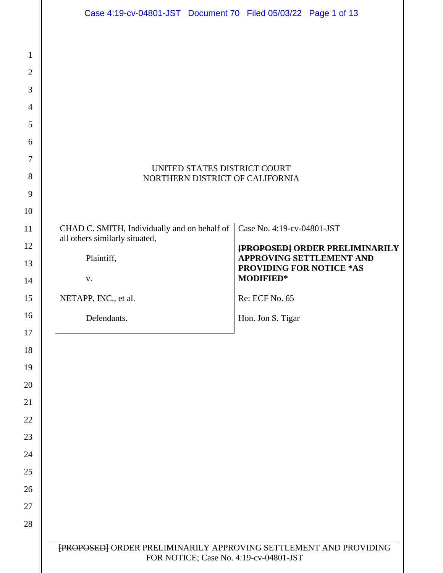|                | Case 4:19-cv-04801-JST Document 70 Filed 05/03/22 Page 1 of 13                                              |                                                                          |
|----------------|-------------------------------------------------------------------------------------------------------------|--------------------------------------------------------------------------|
| $\mathbf{1}$   |                                                                                                             |                                                                          |
| $\mathfrak{2}$ |                                                                                                             |                                                                          |
| 3              |                                                                                                             |                                                                          |
| $\overline{4}$ |                                                                                                             |                                                                          |
| 5              |                                                                                                             |                                                                          |
| 6              |                                                                                                             |                                                                          |
| $\tau$         |                                                                                                             |                                                                          |
| 8              | UNITED STATES DISTRICT COURT<br>NORTHERN DISTRICT OF CALIFORNIA                                             |                                                                          |
| 9              |                                                                                                             |                                                                          |
| 10             |                                                                                                             |                                                                          |
| 11             | CHAD C. SMITH, Individually and on behalf of<br>all others similarly situated,                              | Case No. 4:19-cv-04801-JST                                               |
| 12             | Plaintiff,                                                                                                  | <b>[PROPOSED] ORDER PRELIMINARILY</b><br><b>APPROVING SETTLEMENT AND</b> |
| 13<br>14       | ${\bf V}$ .                                                                                                 | <b>PROVIDING FOR NOTICE *AS</b><br>MODIFIED*                             |
| 15             | NETAPP, INC., et al.                                                                                        | Re: ECF No. 65                                                           |
| 16             |                                                                                                             |                                                                          |
| 17             | Defendants.                                                                                                 | Hon. Jon S. Tigar                                                        |
| 18             |                                                                                                             |                                                                          |
| 19             |                                                                                                             |                                                                          |
| 20             |                                                                                                             |                                                                          |
| 21             |                                                                                                             |                                                                          |
| 22             |                                                                                                             |                                                                          |
| 23             |                                                                                                             |                                                                          |
| 24             |                                                                                                             |                                                                          |
| 25             |                                                                                                             |                                                                          |
| 26             |                                                                                                             |                                                                          |
| 27             |                                                                                                             |                                                                          |
| 28             |                                                                                                             |                                                                          |
|                | [PROPOSED] ORDER PRELIMINARILY APPROVING SETTLEMENT AND PROVIDING<br>FOR NOTICE; Case No. 4:19-cv-04801-JST |                                                                          |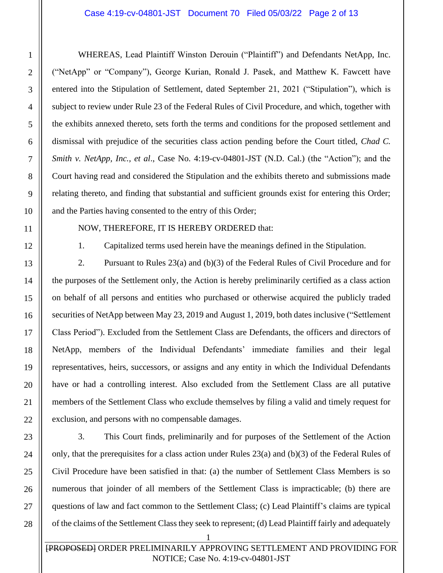WHEREAS, Lead Plaintiff Winston Derouin ("Plaintiff") and Defendants NetApp, Inc. ("NetApp" or "Company"), George Kurian, Ronald J. Pasek, and Matthew K. Fawcett have entered into the Stipulation of Settlement, dated September 21, 2021 ("Stipulation"), which is subject to review under Rule 23 of the Federal Rules of Civil Procedure, and which, together with the exhibits annexed thereto, sets forth the terms and conditions for the proposed settlement and dismissal with prejudice of the securities class action pending before the Court titled, *Chad C. Smith v. NetApp, Inc., et al*., Case No. 4:19-cv-04801-JST (N.D. Cal.) (the "Action"); and the Court having read and considered the Stipulation and the exhibits thereto and submissions made relating thereto, and finding that substantial and sufficient grounds exist for entering this Order; and the Parties having consented to the entry of this Order;

# NOW, THEREFORE, IT IS HEREBY ORDERED that:

1. Capitalized terms used herein have the meanings defined in the Stipulation.

2. Pursuant to Rules 23(a) and (b)(3) of the Federal Rules of Civil Procedure and for the purposes of the Settlement only, the Action is hereby preliminarily certified as a class action on behalf of all persons and entities who purchased or otherwise acquired the publicly traded securities of NetApp between May 23, 2019 and August 1, 2019, both dates inclusive ("Settlement Class Period"). Excluded from the Settlement Class are Defendants, the officers and directors of NetApp, members of the Individual Defendants' immediate families and their legal representatives, heirs, successors, or assigns and any entity in which the Individual Defendants have or had a controlling interest. Also excluded from the Settlement Class are all putative members of the Settlement Class who exclude themselves by filing a valid and timely request for exclusion, and persons with no compensable damages.

3. This Court finds, preliminarily and for purposes of the Settlement of the Action only, that the prerequisites for a class action under Rules 23(a) and (b)(3) of the Federal Rules of Civil Procedure have been satisfied in that: (a) the number of Settlement Class Members is so numerous that joinder of all members of the Settlement Class is impracticable; (b) there are questions of law and fact common to the Settlement Class; (c) Lead Plaintiff's claims are typical of the claims of the Settlement Class they seek to represent; (d) Lead Plaintiff fairly and adequately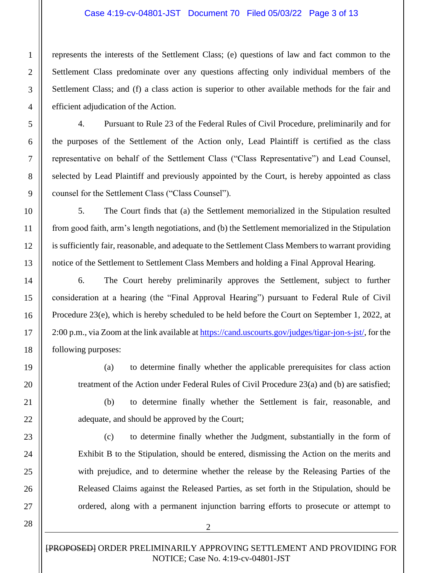### Case 4:19-cv-04801-JST Document 70 Filed 05/03/22 Page 3 of 13

represents the interests of the Settlement Class; (e) questions of law and fact common to the Settlement Class predominate over any questions affecting only individual members of the Settlement Class; and (f) a class action is superior to other available methods for the fair and efficient adjudication of the Action.

4. Pursuant to Rule 23 of the Federal Rules of Civil Procedure, preliminarily and for the purposes of the Settlement of the Action only, Lead Plaintiff is certified as the class representative on behalf of the Settlement Class ("Class Representative") and Lead Counsel, selected by Lead Plaintiff and previously appointed by the Court, is hereby appointed as class counsel for the Settlement Class ("Class Counsel").

5. The Court finds that (a) the Settlement memorialized in the Stipulation resulted from good faith, arm's length negotiations, and (b) the Settlement memorialized in the Stipulation is sufficiently fair, reasonable, and adequate to the Settlement Class Members to warrant providing notice of the Settlement to Settlement Class Members and holding a Final Approval Hearing.

6. The Court hereby preliminarily approves the Settlement, subject to further consideration at a hearing (the "Final Approval Hearing") pursuant to Federal Rule of Civil Procedure 23(e), which is hereby scheduled to be held before the Court on September 1, 2022, at 2:00 p.m., via Zoom at the link available at https://cand.uscourts.gov/judges/tigar-jon-s-jst/, for the following purposes:

(a) to determine finally whether the applicable prerequisites for class action treatment of the Action under Federal Rules of Civil Procedure 23(a) and (b) are satisfied;

(b) to determine finally whether the Settlement is fair, reasonable, and adequate, and should be approved by the Court;

(c) to determine finally whether the Judgment, substantially in the form of Exhibit B to the Stipulation, should be entered, dismissing the Action on the merits and with prejudice, and to determine whether the release by the Releasing Parties of the Released Claims against the Released Parties, as set forth in the Stipulation, should be ordered, along with a permanent injunction barring efforts to prosecute or attempt to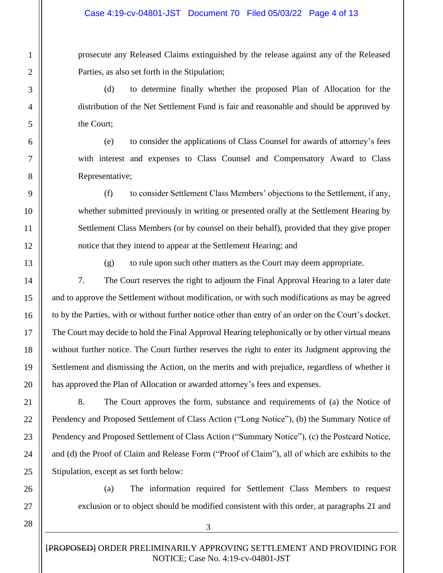## Case 4:19-cv-04801-JST Document 70 Filed 05/03/22 Page 4 of 13

prosecute any Released Claims extinguished by the release against any of the Released Parties, as also set forth in the Stipulation;

(d) to determine finally whether the proposed Plan of Allocation for the distribution of the Net Settlement Fund is fair and reasonable and should be approved by the Court;

(e) to consider the applications of Class Counsel for awards of attorney's fees with interest and expenses to Class Counsel and Compensatory Award to Class Representative;

(f) to consider Settlement Class Members' objections to the Settlement, if any, whether submitted previously in writing or presented orally at the Settlement Hearing by Settlement Class Members (or by counsel on their behalf), provided that they give proper notice that they intend to appear at the Settlement Hearing; and

(g) to rule upon such other matters as the Court may deem appropriate.

7. The Court reserves the right to adjourn the Final Approval Hearing to a later date and to approve the Settlement without modification, or with such modifications as may be agreed to by the Parties, with or without further notice other than entry of an order on the Court's docket. The Court may decide to hold the Final Approval Hearing telephonically or by other virtual means without further notice. The Court further reserves the right to enter its Judgment approving the Settlement and dismissing the Action, on the merits and with prejudice, regardless of whether it has approved the Plan of Allocation or awarded attorney's fees and expenses.

8. The Court approves the form, substance and requirements of (a) the Notice of Pendency and Proposed Settlement of Class Action ("Long Notice"), (b) the Summary Notice of Pendency and Proposed Settlement of Class Action ("Summary Notice"), (c) the Postcard Notice, and (d) the Proof of Claim and Release Form ("Proof of Claim"), all of which are exhibits to the Stipulation, except as set forth below:

(a) The information required for Settlement Class Members to request exclusion or to object should be modified consistent with this order, at paragraphs 21 and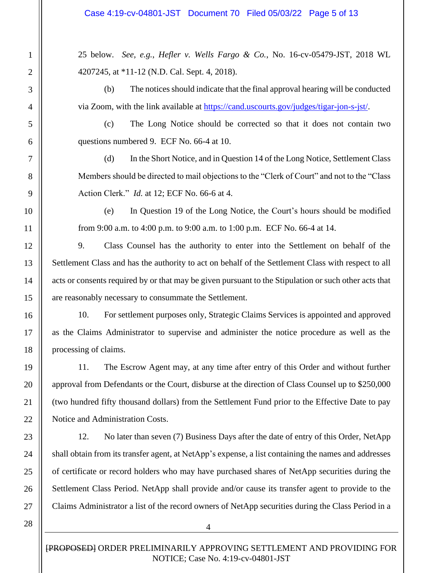25 below. *See, e.g.*, *Hefler v. Wells Fargo & Co.*, No. 16-cv-05479-JST, 2018 WL 4207245, at \*11-12 (N.D. Cal. Sept. 4, 2018).

(b) The notices should indicate that the final approval hearing will be conducted via Zoom, with the link available at https://cand.uscourts.gov/judges/tigar-jon-s-jst/.

(c) The Long Notice should be corrected so that it does not contain two questions numbered 9. ECF No. 66-4 at 10.

(d) In the Short Notice, and in Question 14 of the Long Notice, Settlement Class Members should be directed to mail objections to the "Clerk of Court" and not to the "Class Action Clerk." *Id.* at 12; ECF No. 66-6 at 4.

(e) In Question 19 of the Long Notice, the Court's hours should be modified from 9:00 a.m. to 4:00 p.m. to 9:00 a.m. to 1:00 p.m. ECF No. 66-4 at 14.

9. Class Counsel has the authority to enter into the Settlement on behalf of the Settlement Class and has the authority to act on behalf of the Settlement Class with respect to all acts or consents required by or that may be given pursuant to the Stipulation or such other acts that are reasonably necessary to consummate the Settlement.

10. For settlement purposes only, Strategic Claims Services is appointed and approved as the Claims Administrator to supervise and administer the notice procedure as well as the processing of claims.

11. The Escrow Agent may, at any time after entry of this Order and without further approval from Defendants or the Court, disburse at the direction of Class Counsel up to \$250,000 (two hundred fifty thousand dollars) from the Settlement Fund prior to the Effective Date to pay Notice and Administration Costs.

12. No later than seven (7) Business Days after the date of entry of this Order, NetApp shall obtain from its transfer agent, at NetApp's expense, a list containing the names and addresses of certificate or record holders who may have purchased shares of NetApp securities during the Settlement Class Period. NetApp shall provide and/or cause its transfer agent to provide to the Claims Administrator a list of the record owners of NetApp securities during the Class Period in a

28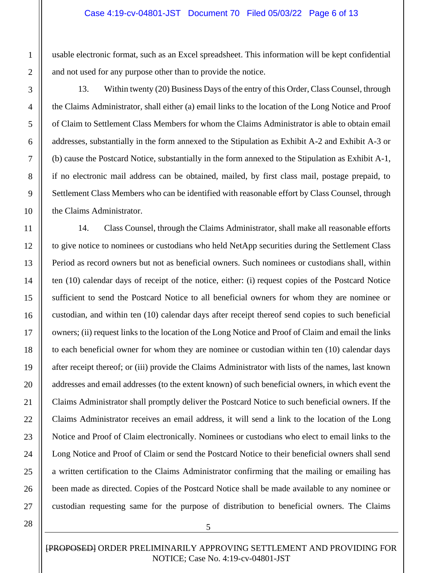usable electronic format, such as an Excel spreadsheet. This information will be kept confidential and not used for any purpose other than to provide the notice.

13. Within twenty (20) Business Days of the entry of this Order, Class Counsel, through the Claims Administrator, shall either (a) email links to the location of the Long Notice and Proof of Claim to Settlement Class Members for whom the Claims Administrator is able to obtain email addresses, substantially in the form annexed to the Stipulation as Exhibit A-2 and Exhibit A-3 or (b) cause the Postcard Notice, substantially in the form annexed to the Stipulation as Exhibit A-1, if no electronic mail address can be obtained, mailed, by first class mail, postage prepaid, to Settlement Class Members who can be identified with reasonable effort by Class Counsel, through the Claims Administrator.

14. Class Counsel, through the Claims Administrator, shall make all reasonable efforts to give notice to nominees or custodians who held NetApp securities during the Settlement Class Period as record owners but not as beneficial owners. Such nominees or custodians shall, within ten (10) calendar days of receipt of the notice, either: (i) request copies of the Postcard Notice sufficient to send the Postcard Notice to all beneficial owners for whom they are nominee or custodian, and within ten (10) calendar days after receipt thereof send copies to such beneficial owners; (ii) request links to the location of the Long Notice and Proof of Claim and email the links to each beneficial owner for whom they are nominee or custodian within ten (10) calendar days after receipt thereof; or (iii) provide the Claims Administrator with lists of the names, last known addresses and email addresses (to the extent known) of such beneficial owners, in which event the Claims Administrator shall promptly deliver the Postcard Notice to such beneficial owners. If the Claims Administrator receives an email address, it will send a link to the location of the Long Notice and Proof of Claim electronically. Nominees or custodians who elect to email links to the Long Notice and Proof of Claim or send the Postcard Notice to their beneficial owners shall send a written certification to the Claims Administrator confirming that the mailing or emailing has been made as directed. Copies of the Postcard Notice shall be made available to any nominee or custodian requesting same for the purpose of distribution to beneficial owners. The Claims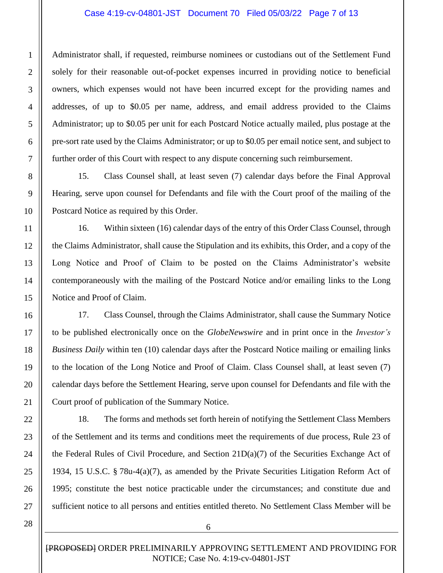### Case 4:19-cv-04801-JST Document 70 Filed 05/03/22 Page 7 of 13

Administrator shall, if requested, reimburse nominees or custodians out of the Settlement Fund solely for their reasonable out-of-pocket expenses incurred in providing notice to beneficial owners, which expenses would not have been incurred except for the providing names and addresses, of up to \$0.05 per name, address, and email address provided to the Claims Administrator; up to \$0.05 per unit for each Postcard Notice actually mailed, plus postage at the pre-sort rate used by the Claims Administrator; or up to \$0.05 per email notice sent, and subject to further order of this Court with respect to any dispute concerning such reimbursement.

15. Class Counsel shall, at least seven (7) calendar days before the Final Approval Hearing, serve upon counsel for Defendants and file with the Court proof of the mailing of the Postcard Notice as required by this Order.

16. Within sixteen (16) calendar days of the entry of this Order Class Counsel, through the Claims Administrator, shall cause the Stipulation and its exhibits, this Order, and a copy of the Long Notice and Proof of Claim to be posted on the Claims Administrator's website contemporaneously with the mailing of the Postcard Notice and/or emailing links to the Long Notice and Proof of Claim.

17. Class Counsel, through the Claims Administrator, shall cause the Summary Notice to be published electronically once on the *GlobeNewswire* and in print once in the *Investor's Business Daily* within ten (10) calendar days after the Postcard Notice mailing or emailing links to the location of the Long Notice and Proof of Claim. Class Counsel shall, at least seven (7) calendar days before the Settlement Hearing, serve upon counsel for Defendants and file with the Court proof of publication of the Summary Notice.

18. The forms and methods set forth herein of notifying the Settlement Class Members of the Settlement and its terms and conditions meet the requirements of due process, Rule 23 of the Federal Rules of Civil Procedure, and Section  $21D(a)(7)$  of the Securities Exchange Act of 1934, 15 U.S.C. § 78u-4(a)(7), as amended by the Private Securities Litigation Reform Act of 1995; constitute the best notice practicable under the circumstances; and constitute due and sufficient notice to all persons and entities entitled thereto. No Settlement Class Member will be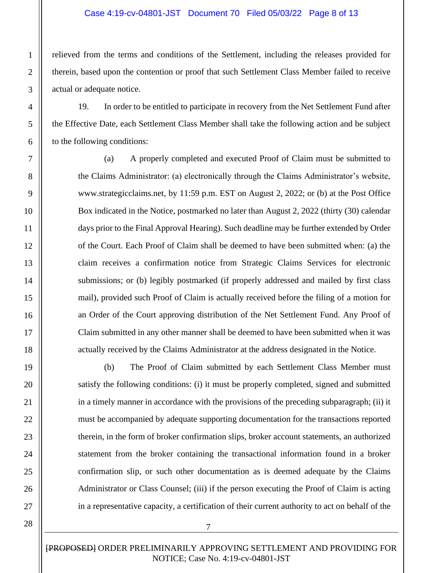### Case 4:19-cv-04801-JST Document 70 Filed 05/03/22 Page 8 of 13

relieved from the terms and conditions of the Settlement, including the releases provided for therein, based upon the contention or proof that such Settlement Class Member failed to receive actual or adequate notice.

19. In order to be entitled to participate in recovery from the Net Settlement Fund after the Effective Date, each Settlement Class Member shall take the following action and be subject to the following conditions:

(a) A properly completed and executed Proof of Claim must be submitted to the Claims Administrator: (a) electronically through the Claims Administrator's website, www.strategicclaims.net, by 11:59 p.m. EST on August 2, 2022; or (b) at the Post Office Box indicated in the Notice, postmarked no later than August 2, 2022 (thirty (30) calendar days prior to the Final Approval Hearing). Such deadline may be further extended by Order of the Court. Each Proof of Claim shall be deemed to have been submitted when: (a) the claim receives a confirmation notice from Strategic Claims Services for electronic submissions; or (b) legibly postmarked (if properly addressed and mailed by first class mail), provided such Proof of Claim is actually received before the filing of a motion for an Order of the Court approving distribution of the Net Settlement Fund. Any Proof of Claim submitted in any other manner shall be deemed to have been submitted when it was actually received by the Claims Administrator at the address designated in the Notice.

(b) The Proof of Claim submitted by each Settlement Class Member must satisfy the following conditions: (i) it must be properly completed, signed and submitted in a timely manner in accordance with the provisions of the preceding subparagraph; (ii) it must be accompanied by adequate supporting documentation for the transactions reported therein, in the form of broker confirmation slips, broker account statements, an authorized statement from the broker containing the transactional information found in a broker confirmation slip, or such other documentation as is deemed adequate by the Claims Administrator or Class Counsel; (iii) if the person executing the Proof of Claim is acting in a representative capacity, a certification of their current authority to act on behalf of the

# 18 19 20 21 22 23 24 25 26 27 28

1

2

3

4

5

6

7

8

9

10

11

12

13

14

15

16

17

[PROPOSED] ORDER PRELIMINARILY APPROVING SETTLEMENT AND PROVIDING FOR NOTICE; Case No. 4:19-cv-04801-JST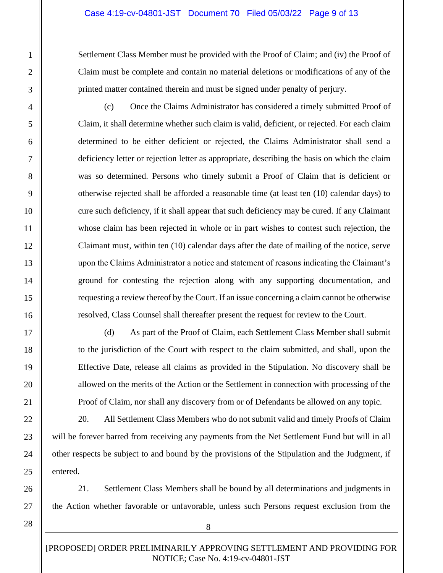### Case 4:19-cv-04801-JST Document 70 Filed 05/03/22 Page 9 of 13

Settlement Class Member must be provided with the Proof of Claim; and (iv) the Proof of Claim must be complete and contain no material deletions or modifications of any of the printed matter contained therein and must be signed under penalty of perjury.

(c) Once the Claims Administrator has considered a timely submitted Proof of Claim, it shall determine whether such claim is valid, deficient, or rejected. For each claim determined to be either deficient or rejected, the Claims Administrator shall send a deficiency letter or rejection letter as appropriate, describing the basis on which the claim was so determined. Persons who timely submit a Proof of Claim that is deficient or otherwise rejected shall be afforded a reasonable time (at least ten (10) calendar days) to cure such deficiency, if it shall appear that such deficiency may be cured. If any Claimant whose claim has been rejected in whole or in part wishes to contest such rejection, the Claimant must, within ten (10) calendar days after the date of mailing of the notice, serve upon the Claims Administrator a notice and statement of reasons indicating the Claimant's ground for contesting the rejection along with any supporting documentation, and requesting a review thereof by the Court. If an issue concerning a claim cannot be otherwise resolved, Class Counsel shall thereafter present the request for review to the Court.

(d) As part of the Proof of Claim, each Settlement Class Member shall submit to the jurisdiction of the Court with respect to the claim submitted, and shall, upon the Effective Date, release all claims as provided in the Stipulation. No discovery shall be allowed on the merits of the Action or the Settlement in connection with processing of the Proof of Claim, nor shall any discovery from or of Defendants be allowed on any topic.

20. All Settlement Class Members who do not submit valid and timely Proofs of Claim will be forever barred from receiving any payments from the Net Settlement Fund but will in all other respects be subject to and bound by the provisions of the Stipulation and the Judgment, if entered.

21. Settlement Class Members shall be bound by all determinations and judgments in the Action whether favorable or unfavorable, unless such Persons request exclusion from the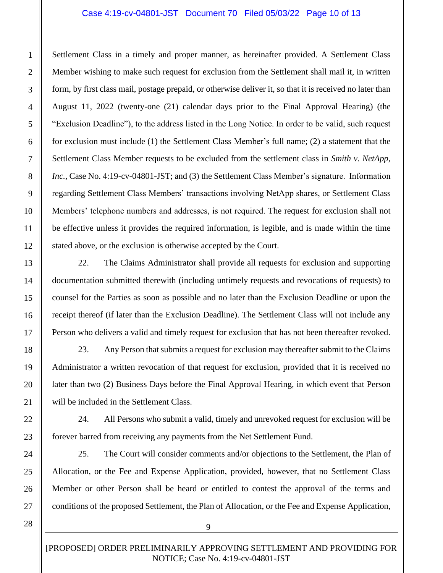## Case 4:19-cv-04801-JST Document 70 Filed 05/03/22 Page 10 of 13

Settlement Class in a timely and proper manner, as hereinafter provided. A Settlement Class Member wishing to make such request for exclusion from the Settlement shall mail it, in written form, by first class mail, postage prepaid, or otherwise deliver it, so that it is received no later than August 11, 2022 (twenty-one (21) calendar days prior to the Final Approval Hearing) (the "Exclusion Deadline"), to the address listed in the Long Notice. In order to be valid, such request for exclusion must include (1) the Settlement Class Member's full name; (2) a statement that the Settlement Class Member requests to be excluded from the settlement class in *Smith v. NetApp, Inc.*, Case No. 4:19-cv-04801-JST; and (3) the Settlement Class Member's signature. Information regarding Settlement Class Members' transactions involving NetApp shares, or Settlement Class Members' telephone numbers and addresses, is not required. The request for exclusion shall not be effective unless it provides the required information, is legible, and is made within the time stated above, or the exclusion is otherwise accepted by the Court.

22. The Claims Administrator shall provide all requests for exclusion and supporting documentation submitted therewith (including untimely requests and revocations of requests) to counsel for the Parties as soon as possible and no later than the Exclusion Deadline or upon the receipt thereof (if later than the Exclusion Deadline). The Settlement Class will not include any Person who delivers a valid and timely request for exclusion that has not been thereafter revoked.

23. Any Person that submits a request for exclusion may thereafter submit to the Claims Administrator a written revocation of that request for exclusion, provided that it is received no later than two (2) Business Days before the Final Approval Hearing, in which event that Person will be included in the Settlement Class.

24. All Persons who submit a valid, timely and unrevoked request for exclusion will be forever barred from receiving any payments from the Net Settlement Fund.

25. The Court will consider comments and/or objections to the Settlement, the Plan of Allocation, or the Fee and Expense Application, provided, however, that no Settlement Class Member or other Person shall be heard or entitled to contest the approval of the terms and conditions of the proposed Settlement, the Plan of Allocation, or the Fee and Expense Application,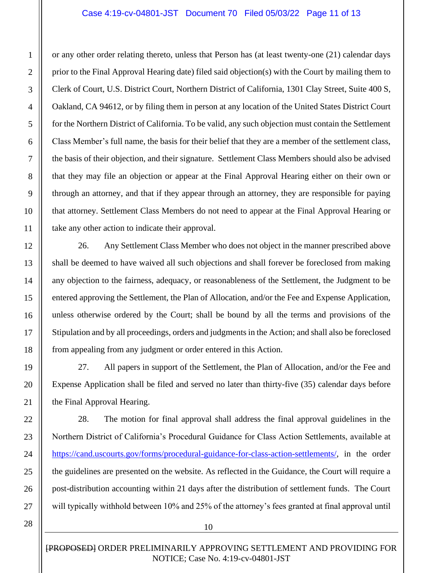### Case 4:19-cv-04801-JST Document 70 Filed 05/03/22 Page 11 of 13

or any other order relating thereto, unless that Person has (at least twenty-one (21) calendar days prior to the Final Approval Hearing date) filed said objection(s) with the Court by mailing them to Clerk of Court, U.S. District Court, Northern District of California, 1301 Clay Street, Suite 400 S, Oakland, CA 94612, or by filing them in person at any location of the United States District Court for the Northern District of California. To be valid, any such objection must contain the Settlement Class Member's full name, the basis for their belief that they are a member of the settlement class, the basis of their objection, and their signature. Settlement Class Members should also be advised that they may file an objection or appear at the Final Approval Hearing either on their own or through an attorney, and that if they appear through an attorney, they are responsible for paying that attorney. Settlement Class Members do not need to appear at the Final Approval Hearing or take any other action to indicate their approval.

26. Any Settlement Class Member who does not object in the manner prescribed above shall be deemed to have waived all such objections and shall forever be foreclosed from making any objection to the fairness, adequacy, or reasonableness of the Settlement, the Judgment to be entered approving the Settlement, the Plan of Allocation, and/or the Fee and Expense Application, unless otherwise ordered by the Court; shall be bound by all the terms and provisions of the Stipulation and by all proceedings, orders and judgments in the Action; and shall also be foreclosed from appealing from any judgment or order entered in this Action.

27. All papers in support of the Settlement, the Plan of Allocation, and/or the Fee and Expense Application shall be filed and served no later than thirty-five (35) calendar days before the Final Approval Hearing.

28. The motion for final approval shall address the final approval guidelines in the Northern District of California's Procedural Guidance for Class Action Settlements, available at https://cand.uscourts.gov/forms/procedural-guidance-for-class-action-settlements/, in the order the guidelines are presented on the website. As reflected in the Guidance, the Court will require a post-distribution accounting within 21 days after the distribution of settlement funds. The Court will typically withhold between 10% and 25% of the attorney's fees granted at final approval until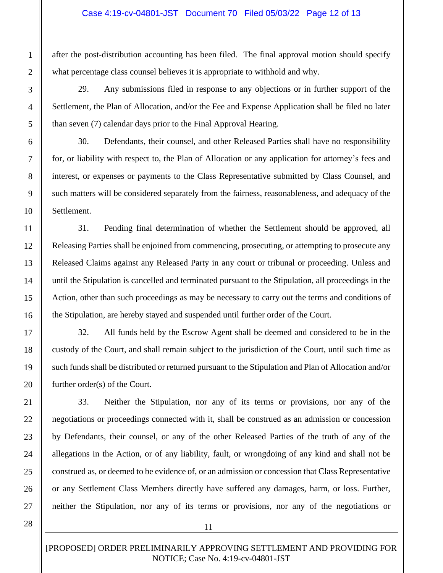after the post-distribution accounting has been filed. The final approval motion should specify what percentage class counsel believes it is appropriate to withhold and why.

29. Any submissions filed in response to any objections or in further support of the Settlement, the Plan of Allocation, and/or the Fee and Expense Application shall be filed no later than seven (7) calendar days prior to the Final Approval Hearing.

30. Defendants, their counsel, and other Released Parties shall have no responsibility for, or liability with respect to, the Plan of Allocation or any application for attorney's fees and interest, or expenses or payments to the Class Representative submitted by Class Counsel, and such matters will be considered separately from the fairness, reasonableness, and adequacy of the Settlement.

31. Pending final determination of whether the Settlement should be approved, all Releasing Parties shall be enjoined from commencing, prosecuting, or attempting to prosecute any Released Claims against any Released Party in any court or tribunal or proceeding. Unless and until the Stipulation is cancelled and terminated pursuant to the Stipulation, all proceedings in the Action, other than such proceedings as may be necessary to carry out the terms and conditions of the Stipulation, are hereby stayed and suspended until further order of the Court.

32. All funds held by the Escrow Agent shall be deemed and considered to be in the custody of the Court, and shall remain subject to the jurisdiction of the Court, until such time as such funds shall be distributed or returned pursuant to the Stipulation and Plan of Allocation and/or further order(s) of the Court.

33. Neither the Stipulation, nor any of its terms or provisions, nor any of the negotiations or proceedings connected with it, shall be construed as an admission or concession by Defendants, their counsel, or any of the other Released Parties of the truth of any of the allegations in the Action, or of any liability, fault, or wrongdoing of any kind and shall not be construed as, or deemed to be evidence of, or an admission or concession that Class Representative or any Settlement Class Members directly have suffered any damages, harm, or loss. Further, neither the Stipulation, nor any of its terms or provisions, nor any of the negotiations or